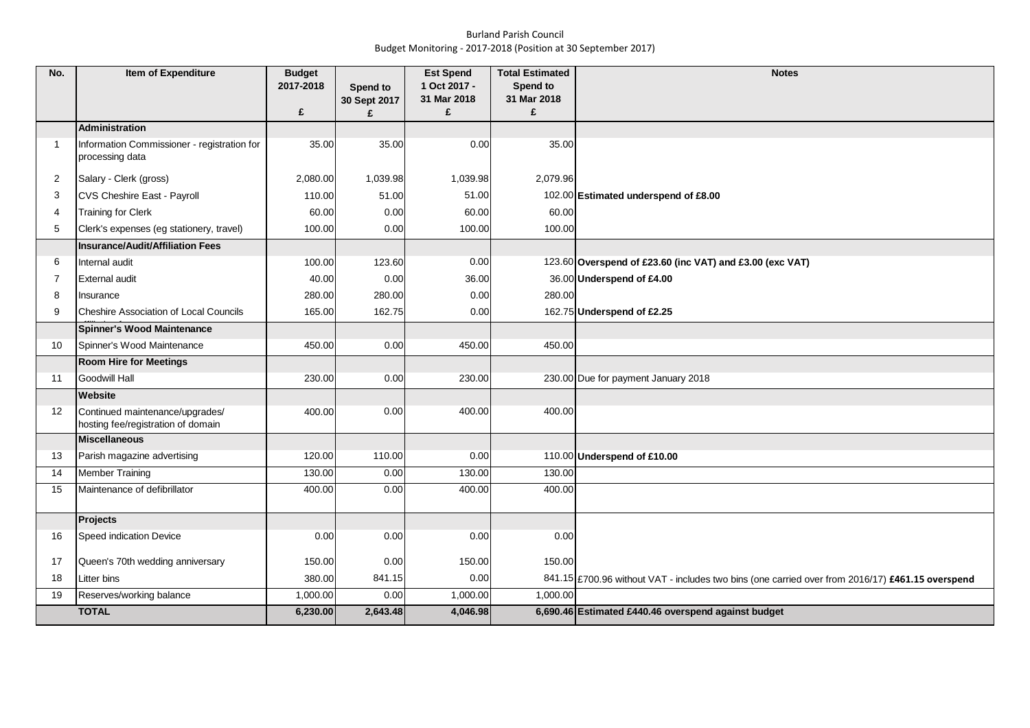## Burland Parish Council Budget Monitoring - 2017-2018 (Position at 30 September 2017)

| No.            | Item of Expenditure                                                   | <b>Budget</b><br>2017-2018 | Spend to     | <b>Est Spend</b><br>1 Oct 2017 - | <b>Total Estimated</b><br>Spend to | <b>Notes</b>                                                                                     |
|----------------|-----------------------------------------------------------------------|----------------------------|--------------|----------------------------------|------------------------------------|--------------------------------------------------------------------------------------------------|
|                |                                                                       |                            | 30 Sept 2017 | 31 Mar 2018                      | 31 Mar 2018                        |                                                                                                  |
|                |                                                                       | £                          | £            | £                                | £                                  |                                                                                                  |
|                | <b>Administration</b>                                                 |                            |              |                                  |                                    |                                                                                                  |
| $\overline{1}$ | Information Commissioner - registration for<br>processing data        | 35.00                      | 35.00        | 0.00                             | 35.00                              |                                                                                                  |
| 2              | Salary - Clerk (gross)                                                | 2,080.00                   | 1,039.98     | 1,039.98                         | 2,079.96                           |                                                                                                  |
| 3              | CVS Cheshire East - Payroll                                           | 110.00                     | 51.00        | 51.00                            |                                    | 102.00 Estimated underspend of £8.00                                                             |
| 4              | <b>Training for Clerk</b>                                             | 60.00                      | 0.00         | 60.00                            | 60.00                              |                                                                                                  |
| 5              | Clerk's expenses (eg stationery, travel)                              | 100.00                     | 0.00         | 100.00                           | 100.00                             |                                                                                                  |
|                | <b>Insurance/Audit/Affiliation Fees</b>                               |                            |              |                                  |                                    |                                                                                                  |
| 6              | Internal audit                                                        | 100.00                     | 123.60       | 0.00                             |                                    | 123.60 Overspend of £23.60 (inc VAT) and £3.00 (exc VAT)                                         |
| $\overline{7}$ | <b>External audit</b>                                                 | 40.00                      | 0.00         | 36.00                            |                                    | 36.00 Underspend of £4.00                                                                        |
| 8              | Insurance                                                             | 280.00                     | 280.00       | 0.00                             | 280.00                             |                                                                                                  |
| 9              | <b>Cheshire Association of Local Councils</b>                         | 165.00                     | 162.75       | 0.00                             |                                    | 162.75 Underspend of £2.25                                                                       |
|                | Spinner's Wood Maintenance                                            |                            |              |                                  |                                    |                                                                                                  |
| 10             | Spinner's Wood Maintenance                                            | 450.00                     | 0.00         | 450.00                           | 450.00                             |                                                                                                  |
|                | <b>Room Hire for Meetings</b>                                         |                            |              |                                  |                                    |                                                                                                  |
| 11             | <b>Goodwill Hall</b>                                                  | 230.00                     | 0.00         | 230.00                           |                                    | 230.00 Due for payment January 2018                                                              |
|                | Website                                                               |                            |              |                                  |                                    |                                                                                                  |
| 12             | Continued maintenance/upgrades/<br>hosting fee/registration of domain | 400.00                     | 0.00         | 400.00                           | 400.00                             |                                                                                                  |
|                | <b>Miscellaneous</b>                                                  |                            |              |                                  |                                    |                                                                                                  |
| 13             | Parish magazine advertising                                           | 120.00                     | 110.00       | 0.00                             |                                    | 110.00 Underspend of £10.00                                                                      |
| 14             | <b>Member Training</b>                                                | 130.00                     | 0.00         | 130.00                           | 130.00                             |                                                                                                  |
| 15             | Maintenance of defibrillator                                          | 400.00                     | 0.00         | 400.00                           | 400.00                             |                                                                                                  |
|                | <b>Projects</b>                                                       |                            |              |                                  |                                    |                                                                                                  |
| 16             | Speed indication Device                                               | 0.00                       | 0.00         | 0.00                             | 0.00                               |                                                                                                  |
| 17             | Queen's 70th wedding anniversary                                      | 150.00                     | 0.00         | 150.00                           | 150.00                             |                                                                                                  |
| 18             | Litter bins                                                           | 380.00                     | 841.15       | 0.00                             |                                    | 841.15 £700.96 without VAT - includes two bins (one carried over from 2016/17) £461.15 overspend |
| 19             | Reserves/working balance                                              | 1,000.00                   | 0.00         | 1,000.00                         | 1,000.00                           |                                                                                                  |
|                | <b>TOTAL</b>                                                          | 6,230.00                   | 2,643.48     | 4,046.98                         |                                    | 6,690.46 Estimated £440.46 overspend against budget                                              |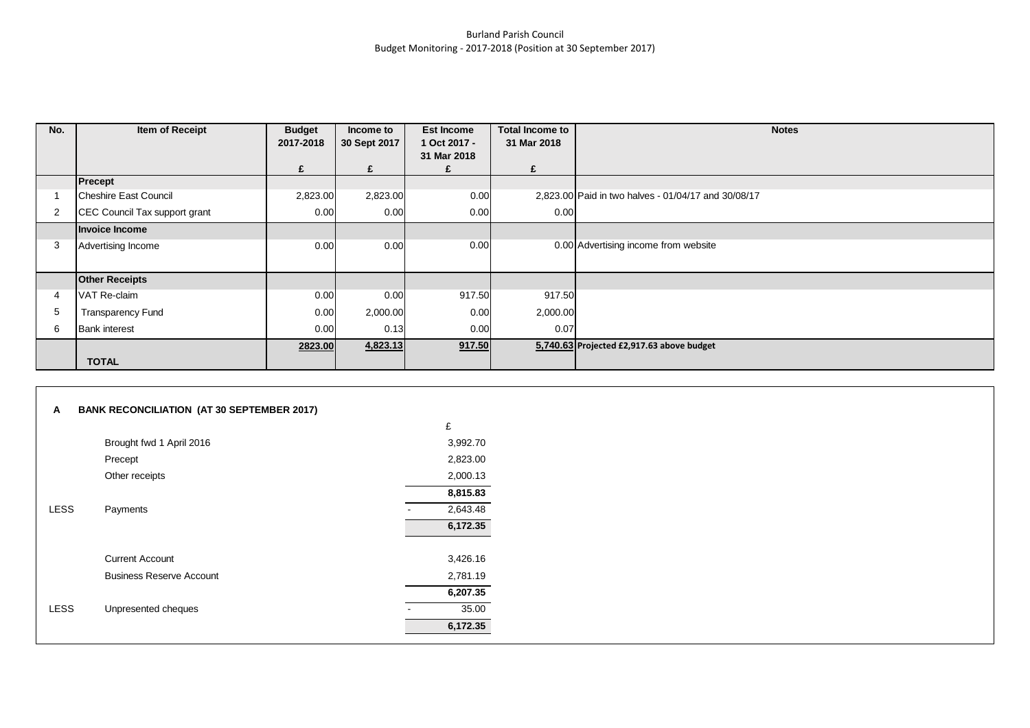## Burland Parish Council Budget Monitoring - 2017-2018 (Position at 30 September 2017)

| No. | Item of Receipt               | <b>Budget</b><br>2017-2018 | Income to<br>30 Sept 2017 | <b>Est Income</b><br>1 Oct 2017 - | <b>Total Income to</b><br>31 Mar 2018 | <b>Notes</b>                                        |
|-----|-------------------------------|----------------------------|---------------------------|-----------------------------------|---------------------------------------|-----------------------------------------------------|
|     |                               |                            |                           | 31 Mar 2018                       |                                       |                                                     |
|     |                               | £                          | £                         |                                   | £                                     |                                                     |
|     | Precept                       |                            |                           |                                   |                                       |                                                     |
|     | <b>Cheshire East Council</b>  | 2,823.00                   | 2,823.00                  | 0.00                              |                                       | 2,823.00 Paid in two halves - 01/04/17 and 30/08/17 |
|     | CEC Council Tax support grant | 0.00                       | 0.00                      | 0.00                              | 0.00                                  |                                                     |
|     | Invoice Income                |                            |                           |                                   |                                       |                                                     |
| 3   | Advertising Income            | 0.00                       | 0.00                      | 0.00                              |                                       | 0.00 Advertising income from website                |
|     |                               |                            |                           |                                   |                                       |                                                     |
|     | <b>Other Receipts</b>         |                            |                           |                                   |                                       |                                                     |
|     | VAT Re-claim                  | 0.00                       | 0.00                      | 917.50                            | 917.50                                |                                                     |
| 5   | <b>Transparency Fund</b>      | 0.00                       | 2,000.00                  | 0.00                              | 2,000.00                              |                                                     |
| 6   | <b>Bank interest</b>          | 0.00                       | 0.13                      | 0.00                              | 0.07                                  |                                                     |
|     |                               | 2823.00                    | 4,823.13                  | 917.50                            |                                       | 5,740.63 Projected £2,917.63 above budget           |
|     | <b>TOTAL</b>                  |                            |                           |                                   |                                       |                                                     |

| A    | <b>BANK RECONCILIATION (AT 30 SEPTEMBER 2017)</b> |          |
|------|---------------------------------------------------|----------|
|      |                                                   | £        |
|      | Brought fwd 1 April 2016                          | 3,992.70 |
|      | Precept                                           | 2,823.00 |
|      | Other receipts                                    | 2,000.13 |
|      |                                                   | 8,815.83 |
| LESS | Payments                                          | 2,643.48 |
|      |                                                   | 6,172.35 |
|      |                                                   |          |
|      | <b>Current Account</b>                            | 3,426.16 |
|      | <b>Business Reserve Account</b>                   | 2,781.19 |
|      |                                                   | 6,207.35 |
| LESS | Unpresented cheques                               | 35.00    |
|      |                                                   | 6,172.35 |